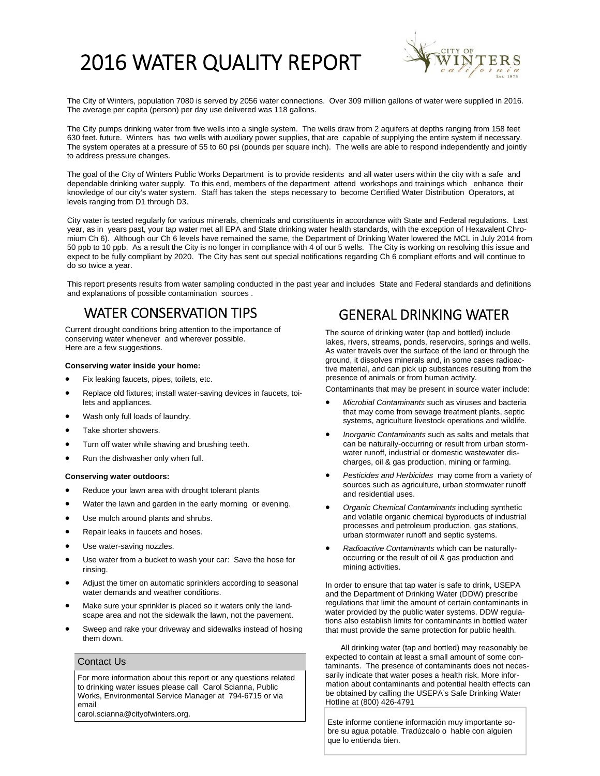# 2016 WATER QUALITY REPORT



The City of Winters, population 7080 is served by 2056 water connections. Over 309 million gallons of water were supplied in 2016. The average per capita (person) per day use delivered was 118 gallons.

The City pumps drinking water from five wells into a single system. The wells draw from 2 aquifers at depths ranging from 158 feet 630 feet. future. Winters has two wells with auxiliary power supplies, that are capable of supplying the entire system if necessary. The system operates at a pressure of 55 to 60 psi (pounds per square inch). The wells are able to respond independently and jointly to address pressure changes.

The goal of the City of Winters Public Works Department is to provide residents and all water users within the city with a safe and dependable drinking water supply. To this end, members of the department attend workshops and trainings which enhance their knowledge of our city's water system. Staff has taken the steps necessary to become Certified Water Distribution Operators, at levels ranging from D1 through D3.

City water is tested regularly for various minerals, chemicals and constituents in accordance with State and Federal regulations. Last year, as in years past, your tap water met all EPA and State drinking water health standards, with the exception of Hexavalent Chromium Ch 6). Although our Ch 6 levels have remained the same, the Department of Drinking Water lowered the MCL in July 2014 from 50 ppb to 10 ppb. As a result the City is no longer in compliance with 4 of our 5 wells. The City is working on resolving this issue and expect to be fully compliant by 2020. The City has sent out special notifications regarding Ch 6 compliant efforts and will continue to do so twice a year.

This report presents results from water sampling conducted in the past year and includes State and Federal standards and definitions and explanations of possible contamination sources .

## WATER CONSERVATION TIPS GENERAL DRINKING WATER

Current drought conditions bring attention to the importance of conserving water whenever and wherever possible. Here are a few suggestions.

#### **Conserving water inside your home:**

- Fix leaking faucets, pipes, toilets, etc.
- Replace old fixtures; install water-saving devices in faucets, toilets and appliances.
- Wash only full loads of laundry.
- Take shorter showers.
- Turn off water while shaving and brushing teeth.
- Run the dishwasher only when full.

#### **Conserving water outdoors:**

- Reduce your lawn area with drought tolerant plants
- Water the lawn and garden in the early morning or evening.
- Use mulch around plants and shrubs.
- Repair leaks in faucets and hoses.
- Use water-saving nozzles.
- Use water from a bucket to wash your car: Save the hose for rinsing.
- Adjust the timer on automatic sprinklers according to seasonal water demands and weather conditions.
- Make sure your sprinkler is placed so it waters only the landscape area and not the sidewalk the lawn, not the pavement.
- Sweep and rake your driveway and sidewalks instead of hosing them down.

#### Contact Us

For more information about this report or any questions related to drinking water issues please call Carol Scianna, Public Works, Environmental Service Manager at 794-6715 or via email

carol.scianna@cityofwinters.org.

The source of drinking water (tap and bottled) include lakes, rivers, streams, ponds, reservoirs, springs and wells. As water travels over the surface of the land or through the ground, it dissolves minerals and, in some cases radioactive material, and can pick up substances resulting from the presence of animals or from human activity.

Contaminants that may be present in source water include:

- *Microbial Contaminants* such as viruses and bacteria that may come from sewage treatment plants, septic systems, agriculture livestock operations and wildlife.
- *Inorganic Contaminants* such as salts and metals that can be naturally-occurring or result from urban stormwater runoff, industrial or domestic wastewater discharges, oil & gas production, mining or farming.
- *Pesticides and Herbicides* may come from a variety of sources such as agriculture, urban stormwater runoff and residential uses.
- *Organic Chemical Contaminants* including synthetic and volatile organic chemical byproducts of industrial processes and petroleum production, gas stations, urban stormwater runoff and septic systems.
- *Radioactive Contaminants* which can be naturallyoccurring or the result of oil & gas production and mining activities.

In order to ensure that tap water is safe to drink, USEPA and the Department of Drinking Water (DDW) prescribe regulations that limit the amount of certain contaminants in water provided by the public water systems. DDW regulations also establish limits for contaminants in bottled water that must provide the same protection for public health.

 All drinking water (tap and bottled) may reasonably be expected to contain at least a small amount of some contaminants. The presence of contaminants does not necessarily indicate that water poses a health risk. More information about contaminants and potential health effects can be obtained by calling the USEPA's Safe Drinking Water Hotline at (800) 426-4791

Este informe contiene información muy importante sobre su agua potable. Tradúzcalo o hable con alguien que lo entienda bien.